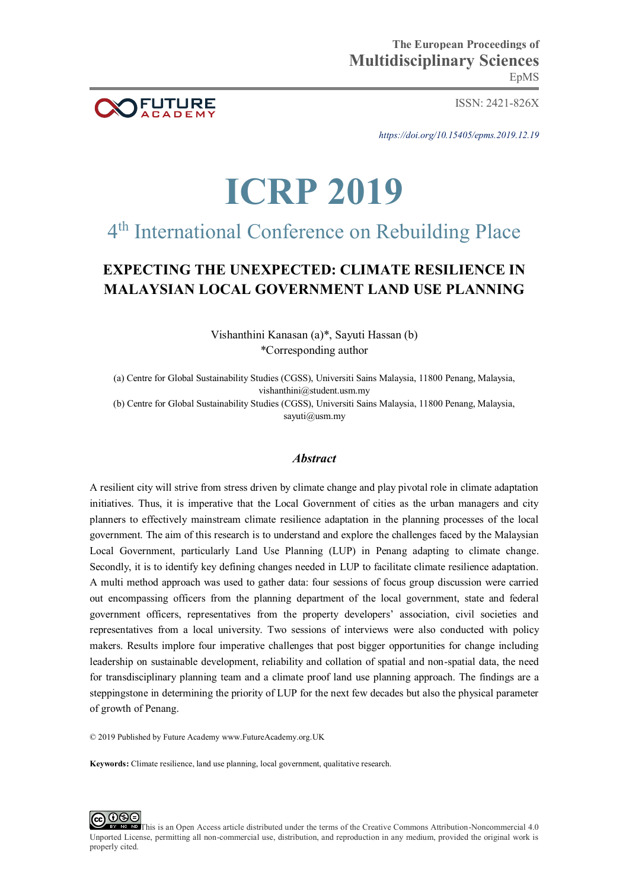

ISSN: 2421-826X

*https://doi.org/10.15405/epms.2019.12.19* 

# **ICRP 2019**

## 4 th International Conference on Rebuilding Place

### **EXPECTING THE UNEXPECTED: CLIMATE RESILIENCE IN MALAYSIAN LOCAL GOVERNMENT LAND USE PLANNING**

Vishanthini Kanasan (a)\*, Sayuti Hassan (b) \*Corresponding author

(a) Centre for Global Sustainability Studies (CGSS), Universiti Sains Malaysia, 11800 Penang, Malaysia, vishanthini@student.usm.my

(b) Centre for Global Sustainability Studies (CGSS), Universiti Sains Malaysia, 11800 Penang, Malaysia, sayuti@usm.my

#### *Abstract*

A resilient city will strive from stress driven by climate change and play pivotal role in climate adaptation initiatives. Thus, it is imperative that the Local Government of cities as the urban managers and city planners to effectively mainstream climate resilience adaptation in the planning processes of the local government. The aim of this research is to understand and explore the challenges faced by the Malaysian Local Government, particularly Land Use Planning (LUP) in Penang adapting to climate change. Secondly, it is to identify key defining changes needed in LUP to facilitate climate resilience adaptation. A multi method approach was used to gather data: four sessions of focus group discussion were carried out encompassing officers from the planning department of the local government, state and federal government officers, representatives from the property developers' association, civil societies and representatives from a local university. Two sessions of interviews were also conducted with policy makers. Results implore four imperative challenges that post bigger opportunities for change including leadership on sustainable development, reliability and collation of spatial and non-spatial data, the need for transdisciplinary planning team and a climate proof land use planning approach. The findings are a steppingstone in determining the priority of LUP for the next few decades but also the physical parameter of growth of Penang.

© 2019 Published by Future Academy www.FutureAcademy.org.UK

**Keywords:** Climate resilience, land use planning, local government, qualitative research.

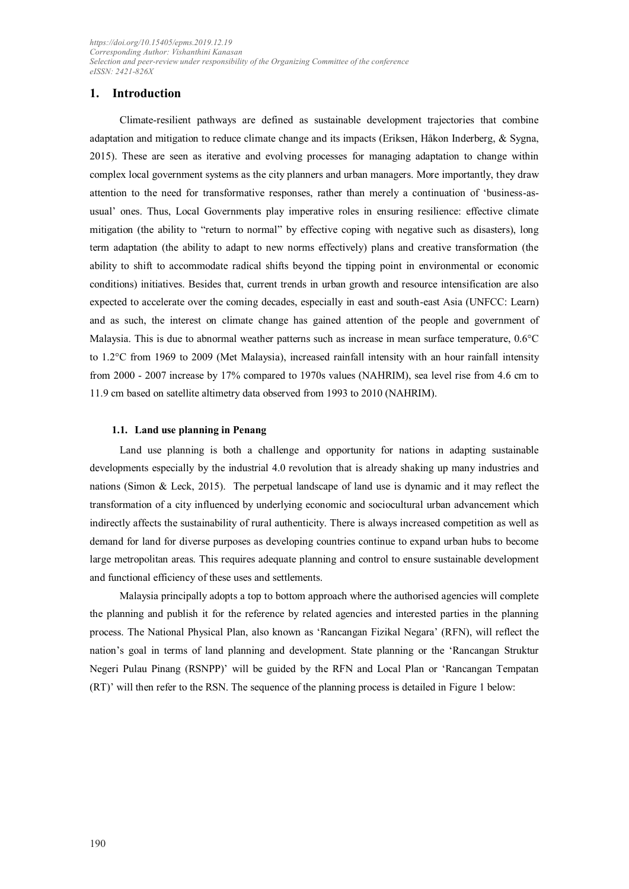#### **1. Introduction**

Climate-resilient pathways are defined as sustainable development trajectories that combine adaptation and mitigation to reduce climate change and its impacts (Eriksen, Håkon Inderberg, & Sygna, 2015). These are seen as iterative and evolving processes for managing adaptation to change within complex local government systems as the city planners and urban managers. More importantly, they draw attention to the need for transformative responses, rather than merely a continuation of 'business-asusual' ones. Thus, Local Governments play imperative roles in ensuring resilience: effective climate mitigation (the ability to "return to normal" by effective coping with negative such as disasters), long term adaptation (the ability to adapt to new norms effectively) plans and creative transformation (the ability to shift to accommodate radical shifts beyond the tipping point in environmental or economic conditions) initiatives. Besides that, current trends in urban growth and resource intensification are also expected to accelerate over the coming decades, especially in east and south-east Asia (UNFCC: Learn) and as such, the interest on climate change has gained attention of the people and government of Malaysia. This is due to abnormal weather patterns such as increase in mean surface temperature, 0.6°C to 1.2°C from 1969 to 2009 (Met Malaysia), increased rainfall intensity with an hour rainfall intensity from 2000 - 2007 increase by 17% compared to 1970s values (NAHRIM), sea level rise from 4.6 cm to 11.9 cm based on satellite altimetry data observed from 1993 to 2010 (NAHRIM).

#### **1.1. Land use planning in Penang**

Land use planning is both a challenge and opportunity for nations in adapting sustainable developments especially by the industrial 4.0 revolution that is already shaking up many industries and nations (Simon & Leck, 2015). The perpetual landscape of land use is dynamic and it may reflect the transformation of a city influenced by underlying economic and sociocultural urban advancement which indirectly affects the sustainability of rural authenticity. There is always increased competition as well as demand for land for diverse purposes as developing countries continue to expand urban hubs to become large metropolitan areas. This requires adequate planning and control to ensure sustainable development and functional efficiency of these uses and settlements.

Malaysia principally adopts a top to bottom approach where the authorised agencies will complete the planning and publish it for the reference by related agencies and interested parties in the planning process. The National Physical Plan, also known as 'Rancangan Fizikal Negara' (RFN), will reflect the nation's goal in terms of land planning and development. State planning or the 'Rancangan Struktur Negeri Pulau Pinang (RSNPP)' will be guided by the RFN and Local Plan or 'Rancangan Tempatan (RT)' will then refer to the RSN. The sequence of the planning process is detailed in Figure 1 below: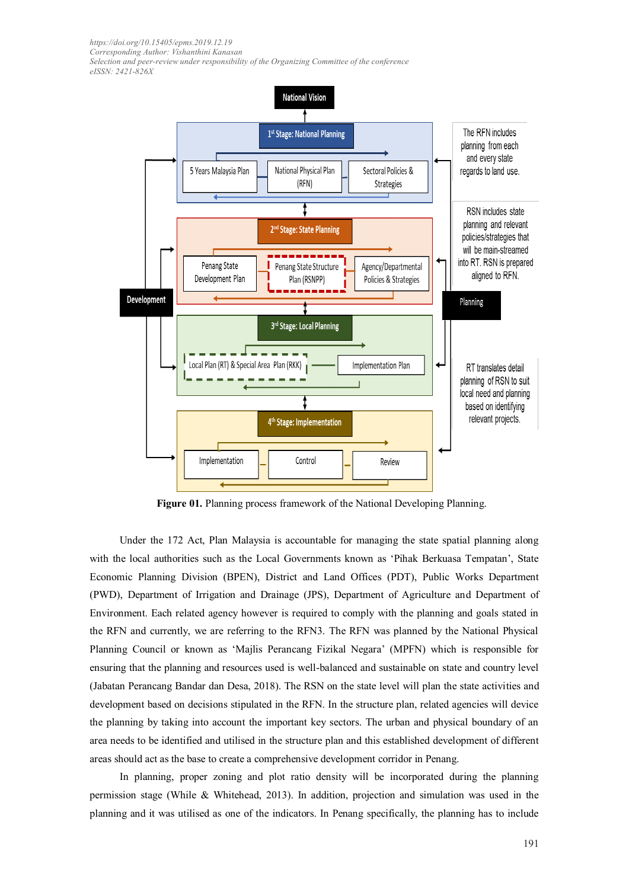*https://doi.org/10.15405/epms.2019.12.19 Corresponding Author: Vishanthini Kanasan* 

*Selection and peer-review under responsibility of the Organizing Committee of the conference eISSN: 2421-826X* 



**Figure 01.** Planning process framework of the National Developing Planning.

Under the 172 Act, Plan Malaysia is accountable for managing the state spatial planning along with the local authorities such as the Local Governments known as 'Pihak Berkuasa Tempatan', State Economic Planning Division (BPEN), District and Land Offices (PDT), Public Works Department (PWD), Department of Irrigation and Drainage (JPS), Department of Agriculture and Department of Environment. Each related agency however is required to comply with the planning and goals stated in the RFN and currently, we are referring to the RFN3. The RFN was planned by the National Physical Planning Council or known as 'Majlis Perancang Fizikal Negara' (MPFN) which is responsible for ensuring that the planning and resources used is well-balanced and sustainable on state and country level (Jabatan Perancang Bandar dan Desa, 2018). The RSN on the state level will plan the state activities and development based on decisions stipulated in the RFN. In the structure plan, related agencies will device the planning by taking into account the important key sectors. The urban and physical boundary of an area needs to be identified and utilised in the structure plan and this established development of different areas should act as the base to create a comprehensive development corridor in Penang.

In planning, proper zoning and plot ratio density will be incorporated during the planning permission stage (While & Whitehead, 2013). In addition, projection and simulation was used in the planning and it was utilised as one of the indicators. In Penang specifically, the planning has to include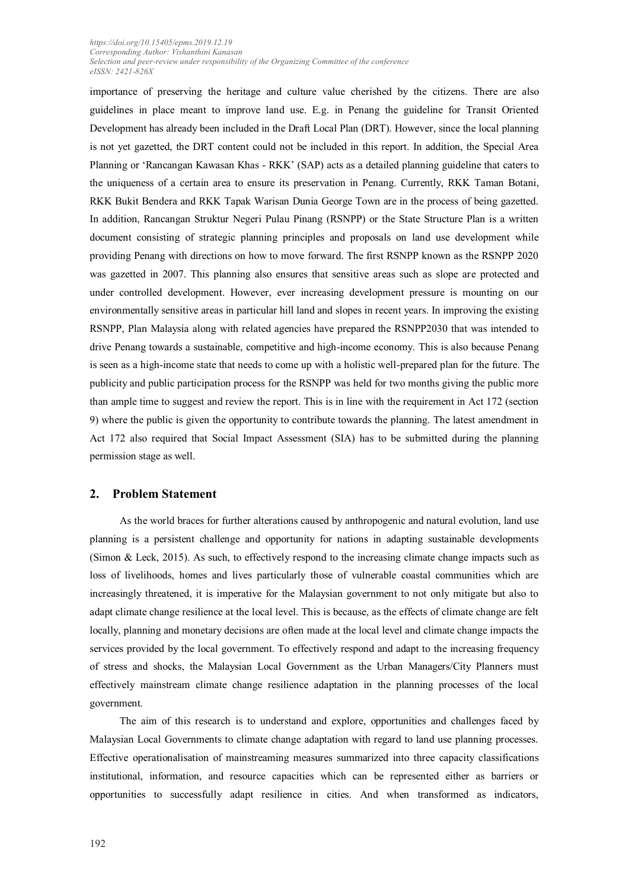importance of preserving the heritage and culture value cherished by the citizens. There are also guidelines in place meant to improve land use. E.g. in Penang the guideline for Transit Oriented Development has already been included in the Draft Local Plan (DRT). However, since the local planning is not yet gazetted, the DRT content could not be included in this report. In addition, the Special Area Planning or 'Rancangan Kawasan Khas - RKK' (SAP) acts as a detailed planning guideline that caters to the uniqueness of a certain area to ensure its preservation in Penang. Currently, RKK Taman Botani, RKK Bukit Bendera and RKK Tapak Warisan Dunia George Town are in the process of being gazetted. In addition, Rancangan Struktur Negeri Pulau Pinang (RSNPP) or the State Structure Plan is a written document consisting of strategic planning principles and proposals on land use development while providing Penang with directions on how to move forward. The first RSNPP known as the RSNPP 2020 was gazetted in 2007. This planning also ensures that sensitive areas such as slope are protected and under controlled development. However, ever increasing development pressure is mounting on our environmentally sensitive areas in particular hill land and slopes in recent years. In improving the existing RSNPP, Plan Malaysia along with related agencies have prepared the RSNPP2030 that was intended to drive Penang towards a sustainable, competitive and high-income economy. This is also because Penang is seen as a high-income state that needs to come up with a holistic well-prepared plan for the future. The publicity and public participation process for the RSNPP was held for two months giving the public more than ample time to suggest and review the report. This is in line with the requirement in Act 172 (section 9) where the public is given the opportunity to contribute towards the planning. The latest amendment in Act 172 also required that Social Impact Assessment (SIA) has to be submitted during the planning permission stage as well.

#### **2. Problem Statement**

As the world braces for further alterations caused by anthropogenic and natural evolution, land use planning is a persistent challenge and opportunity for nations in adapting sustainable developments (Simon & Leck, 2015). As such, to effectively respond to the increasing climate change impacts such as loss of livelihoods, homes and lives particularly those of vulnerable coastal communities which are increasingly threatened, it is imperative for the Malaysian government to not only mitigate but also to adapt climate change resilience at the local level. This is because, as the effects of climate change are felt locally, planning and monetary decisions are often made at the local level and climate change impacts the services provided by the local government. To effectively respond and adapt to the increasing frequency of stress and shocks, the Malaysian Local Government as the Urban Managers/City Planners must effectively mainstream climate change resilience adaptation in the planning processes of the local government.

The aim of this research is to understand and explore, opportunities and challenges faced by Malaysian Local Governments to climate change adaptation with regard to land use planning processes. Effective operationalisation of mainstreaming measures summarized into three capacity classifications institutional, information, and resource capacities which can be represented either as barriers or opportunities to successfully adapt resilience in cities. And when transformed as indicators,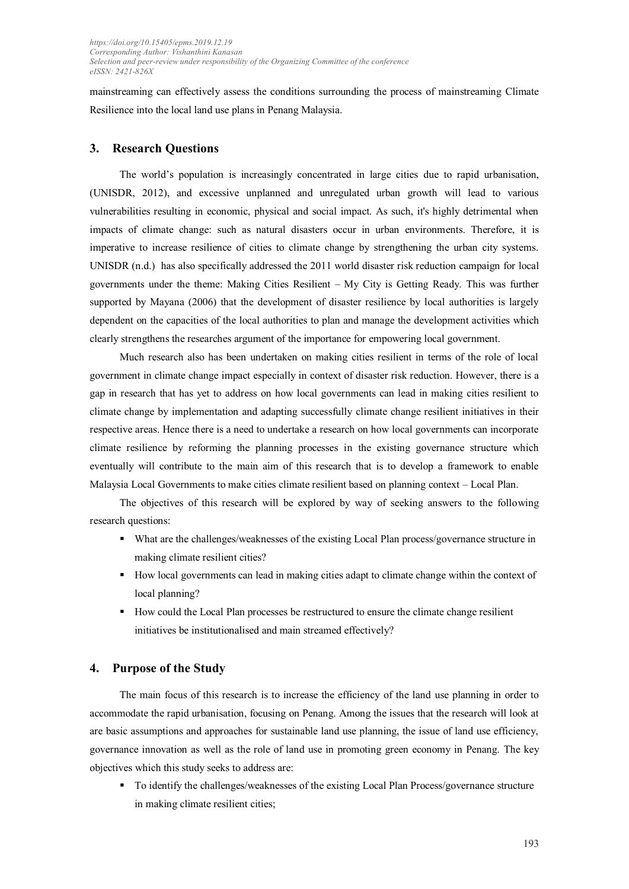mainstreaming can effectively assess the conditions surrounding the process of mainstreaming Climate Resilience into the local land use plans in Penang Malaysia.

#### **3. Research Questions**

The world's population is increasingly concentrated in large cities due to rapid urbanisation, (UNISDR, 2012), and excessive unplanned and unregulated urban growth will lead to various vulnerabilities resulting in economic, physical and social impact. As such, it's highly detrimental when impacts of climate change: such as natural disasters occur in urban environments. Therefore, it is imperative to increase resilience of cities to climate change by strengthening the urban city systems. UNISDR (n.d.) has also specifically addressed the 2011 world disaster risk reduction campaign for local governments under the theme: Making Cities Resilient – My City is Getting Ready. This was further supported by Mayana (2006) that the development of disaster resilience by local authorities is largely dependent on the capacities of the local authorities to plan and manage the development activities which clearly strengthens the researches argument of the importance for empowering local government.

Much research also has been undertaken on making cities resilient in terms of the role of local government in climate change impact especially in context of disaster risk reduction. However, there is a gap in research that has yet to address on how local governments can lead in making cities resilient to climate change by implementation and adapting successfully climate change resilient initiatives in their respective areas. Hence there is a need to undertake a research on how local governments can incorporate climate resilience by reforming the planning processes in the existing governance structure which eventually will contribute to the main aim of this research that is to develop a framework to enable Malaysia Local Governments to make cities climate resilient based on planning context – Local Plan.

The objectives of this research will be explored by way of seeking answers to the following research questions:

- What are the challenges/weaknesses of the existing Local Plan process/governance structure in making climate resilient cities?
- How local governments can lead in making cities adapt to climate change within the context of local planning?
- How could the Local Plan processes be restructured to ensure the climate change resilient initiatives be institutionalised and main streamed effectively?

#### **4. Purpose of the Study**

The main focus of this research is to increase the efficiency of the land use planning in order to accommodate the rapid urbanisation, focusing on Penang. Among the issues that the research will look at are basic assumptions and approaches for sustainable land use planning, the issue of land use efficiency, governance innovation as well as the role of land use in promoting green economy in Penang. The key objectives which this study seeks to address are:

To identify the challenges/weaknesses of the existing Local Plan Process/governance structure in making climate resilient cities;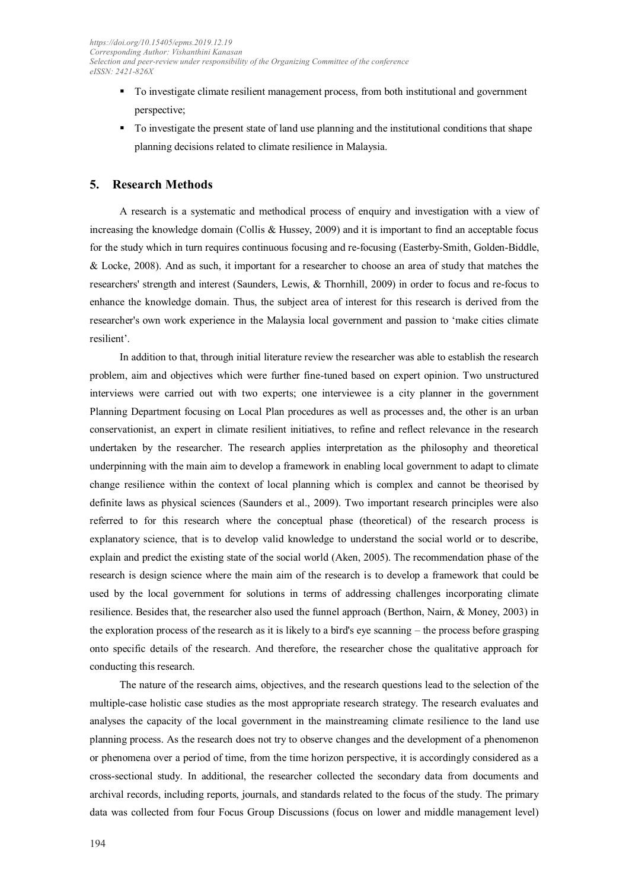- To investigate climate resilient management process, from both institutional and government perspective;
- To investigate the present state of land use planning and the institutional conditions that shape planning decisions related to climate resilience in Malaysia.

#### **5. Research Methods**

A research is a systematic and methodical process of enquiry and investigation with a view of increasing the knowledge domain (Collis & Hussey, 2009) and it is important to find an acceptable focus for the study which in turn requires continuous focusing and re-focusing (Easterby-Smith, Golden-Biddle, & Locke, 2008). And as such, it important for a researcher to choose an area of study that matches the researchers' strength and interest (Saunders, Lewis, & Thornhill, 2009) in order to focus and re-focus to enhance the knowledge domain. Thus, the subject area of interest for this research is derived from the researcher's own work experience in the Malaysia local government and passion to 'make cities climate resilient'.

In addition to that, through initial literature review the researcher was able to establish the research problem, aim and objectives which were further fine-tuned based on expert opinion. Two unstructured interviews were carried out with two experts; one interviewee is a city planner in the government Planning Department focusing on Local Plan procedures as well as processes and, the other is an urban conservationist, an expert in climate resilient initiatives, to refine and reflect relevance in the research undertaken by the researcher. The research applies interpretation as the philosophy and theoretical underpinning with the main aim to develop a framework in enabling local government to adapt to climate change resilience within the context of local planning which is complex and cannot be theorised by definite laws as physical sciences (Saunders et al., 2009). Two important research principles were also referred to for this research where the conceptual phase (theoretical) of the research process is explanatory science, that is to develop valid knowledge to understand the social world or to describe, explain and predict the existing state of the social world (Aken, 2005). The recommendation phase of the research is design science where the main aim of the research is to develop a framework that could be used by the local government for solutions in terms of addressing challenges incorporating climate resilience. Besides that, the researcher also used the funnel approach (Berthon, Nairn, & Money, 2003) in the exploration process of the research as it is likely to a bird's eye scanning – the process before grasping onto specific details of the research. And therefore, the researcher chose the qualitative approach for conducting this research.

The nature of the research aims, objectives, and the research questions lead to the selection of the multiple-case holistic case studies as the most appropriate research strategy. The research evaluates and analyses the capacity of the local government in the mainstreaming climate resilience to the land use planning process. As the research does not try to observe changes and the development of a phenomenon or phenomena over a period of time, from the time horizon perspective, it is accordingly considered as a cross-sectional study. In additional, the researcher collected the secondary data from documents and archival records, including reports, journals, and standards related to the focus of the study. The primary data was collected from four Focus Group Discussions (focus on lower and middle management level)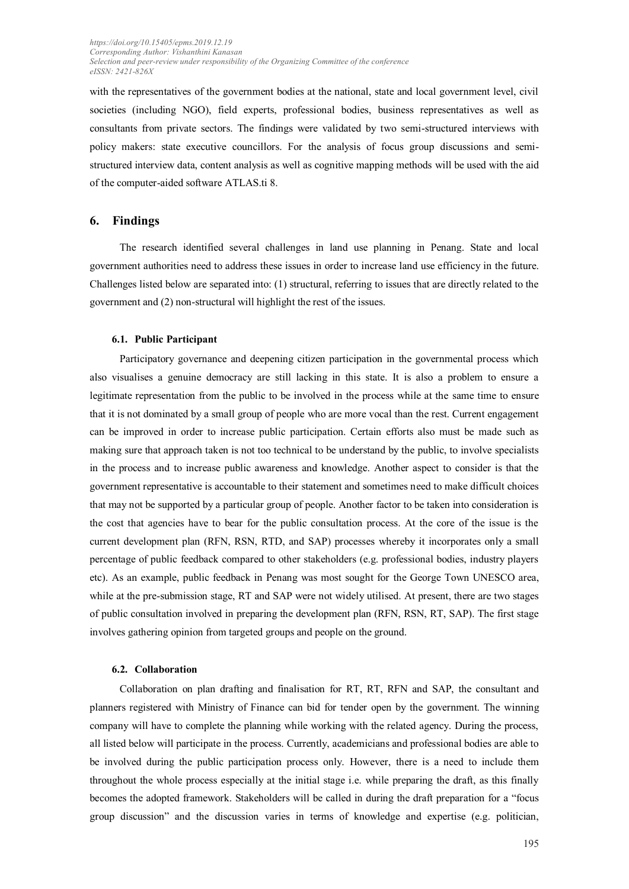with the representatives of the government bodies at the national, state and local government level, civil societies (including NGO), field experts, professional bodies, business representatives as well as consultants from private sectors. The findings were validated by two semi-structured interviews with policy makers: state executive councillors. For the analysis of focus group discussions and semistructured interview data, content analysis as well as cognitive mapping methods will be used with the aid of the computer-aided software ATLAS.ti 8.

#### **6. Findings**

The research identified several challenges in land use planning in Penang. State and local government authorities need to address these issues in order to increase land use efficiency in the future. Challenges listed below are separated into: (1) structural, referring to issues that are directly related to the government and (2) non-structural will highlight the rest of the issues.

#### **6.1. Public Participant**

Participatory governance and deepening citizen participation in the governmental process which also visualises a genuine democracy are still lacking in this state. It is also a problem to ensure a legitimate representation from the public to be involved in the process while at the same time to ensure that it is not dominated by a small group of people who are more vocal than the rest. Current engagement can be improved in order to increase public participation. Certain efforts also must be made such as making sure that approach taken is not too technical to be understand by the public, to involve specialists in the process and to increase public awareness and knowledge. Another aspect to consider is that the government representative is accountable to their statement and sometimes need to make difficult choices that may not be supported by a particular group of people. Another factor to be taken into consideration is the cost that agencies have to bear for the public consultation process. At the core of the issue is the current development plan (RFN, RSN, RTD, and SAP) processes whereby it incorporates only a small percentage of public feedback compared to other stakeholders (e.g. professional bodies, industry players etc). As an example, public feedback in Penang was most sought for the George Town UNESCO area, while at the pre-submission stage, RT and SAP were not widely utilised. At present, there are two stages of public consultation involved in preparing the development plan (RFN, RSN, RT, SAP). The first stage involves gathering opinion from targeted groups and people on the ground.

#### **6.2. Collaboration**

Collaboration on plan drafting and finalisation for RT, RT, RFN and SAP, the consultant and planners registered with Ministry of Finance can bid for tender open by the government. The winning company will have to complete the planning while working with the related agency. During the process, all listed below will participate in the process. Currently, academicians and professional bodies are able to be involved during the public participation process only. However, there is a need to include them throughout the whole process especially at the initial stage i.e. while preparing the draft, as this finally becomes the adopted framework. Stakeholders will be called in during the draft preparation for a "focus group discussion" and the discussion varies in terms of knowledge and expertise (e.g. politician,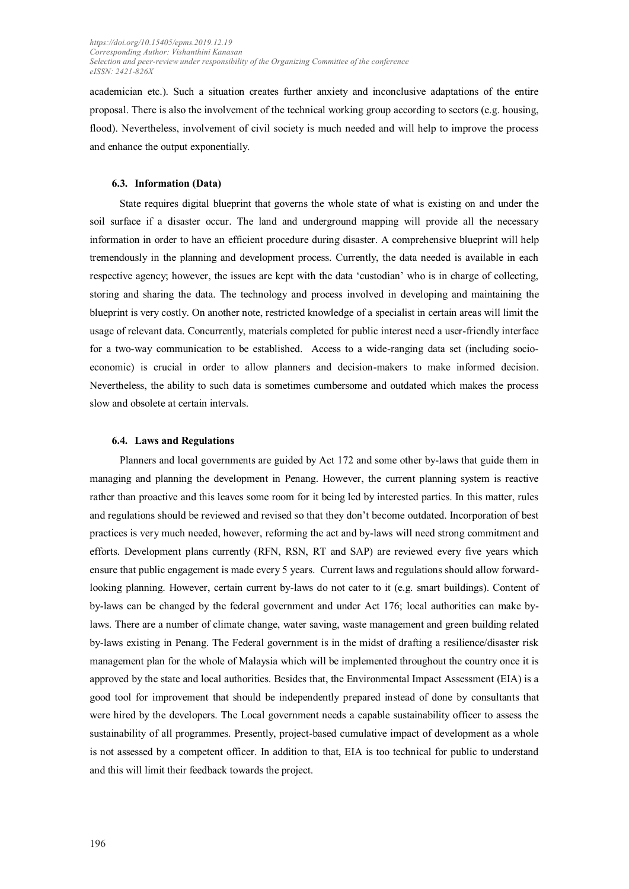academician etc.). Such a situation creates further anxiety and inconclusive adaptations of the entire proposal. There is also the involvement of the technical working group according to sectors (e.g. housing, flood). Nevertheless, involvement of civil society is much needed and will help to improve the process and enhance the output exponentially.

#### **6.3. Information (Data)**

State requires digital blueprint that governs the whole state of what is existing on and under the soil surface if a disaster occur. The land and underground mapping will provide all the necessary information in order to have an efficient procedure during disaster. A comprehensive blueprint will help tremendously in the planning and development process. Currently, the data needed is available in each respective agency; however, the issues are kept with the data 'custodian' who is in charge of collecting, storing and sharing the data. The technology and process involved in developing and maintaining the blueprint is very costly. On another note, restricted knowledge of a specialist in certain areas will limit the usage of relevant data. Concurrently, materials completed for public interest need a user-friendly interface for a two-way communication to be established. Access to a wide-ranging data set (including socioeconomic) is crucial in order to allow planners and decision-makers to make informed decision. Nevertheless, the ability to such data is sometimes cumbersome and outdated which makes the process slow and obsolete at certain intervals.

#### **6.4. Laws and Regulations**

Planners and local governments are guided by Act 172 and some other by-laws that guide them in managing and planning the development in Penang. However, the current planning system is reactive rather than proactive and this leaves some room for it being led by interested parties. In this matter, rules and regulations should be reviewed and revised so that they don't become outdated. Incorporation of best practices is very much needed, however, reforming the act and by-laws will need strong commitment and efforts. Development plans currently (RFN, RSN, RT and SAP) are reviewed every five years which ensure that public engagement is made every 5 years. Current laws and regulations should allow forwardlooking planning. However, certain current by-laws do not cater to it (e.g. smart buildings). Content of by-laws can be changed by the federal government and under Act 176; local authorities can make bylaws. There are a number of climate change, water saving, waste management and green building related by-laws existing in Penang. The Federal government is in the midst of drafting a resilience/disaster risk management plan for the whole of Malaysia which will be implemented throughout the country once it is approved by the state and local authorities. Besides that, the Environmental Impact Assessment (EIA) is a good tool for improvement that should be independently prepared instead of done by consultants that were hired by the developers. The Local government needs a capable sustainability officer to assess the sustainability of all programmes. Presently, project-based cumulative impact of development as a whole is not assessed by a competent officer. In addition to that, EIA is too technical for public to understand and this will limit their feedback towards the project.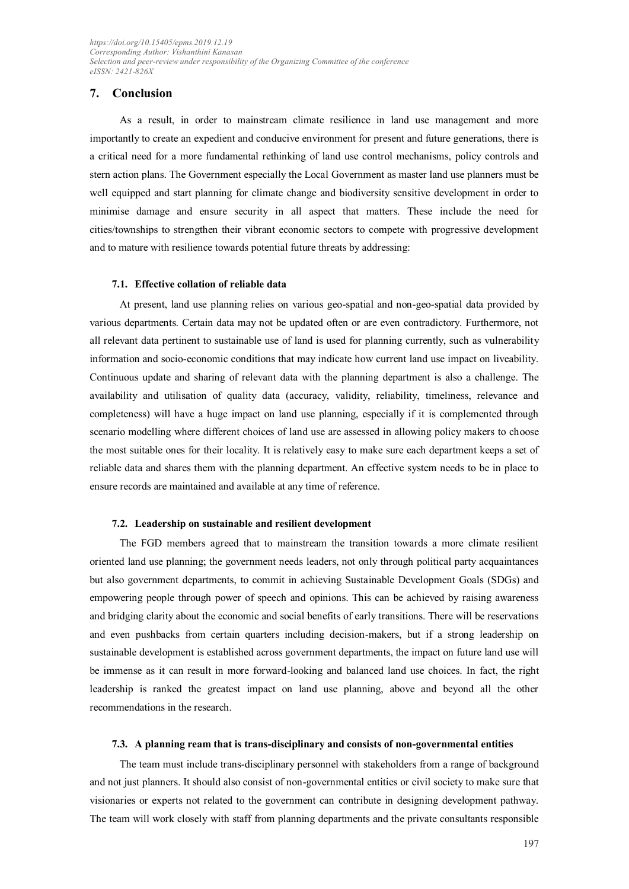#### **7. Conclusion**

As a result, in order to mainstream climate resilience in land use management and more importantly to create an expedient and conducive environment for present and future generations, there is a critical need for a more fundamental rethinking of land use control mechanisms, policy controls and stern action plans. The Government especially the Local Government as master land use planners must be well equipped and start planning for climate change and biodiversity sensitive development in order to minimise damage and ensure security in all aspect that matters. These include the need for cities/townships to strengthen their vibrant economic sectors to compete with progressive development and to mature with resilience towards potential future threats by addressing:

#### **7.1. Effective collation of reliable data**

At present, land use planning relies on various geo-spatial and non-geo-spatial data provided by various departments. Certain data may not be updated often or are even contradictory. Furthermore, not all relevant data pertinent to sustainable use of land is used for planning currently, such as vulnerability information and socio-economic conditions that may indicate how current land use impact on liveability. Continuous update and sharing of relevant data with the planning department is also a challenge. The availability and utilisation of quality data (accuracy, validity, reliability, timeliness, relevance and completeness) will have a huge impact on land use planning, especially if it is complemented through scenario modelling where different choices of land use are assessed in allowing policy makers to choose the most suitable ones for their locality. It is relatively easy to make sure each department keeps a set of reliable data and shares them with the planning department. An effective system needs to be in place to ensure records are maintained and available at any time of reference.

#### **7.2. Leadership on sustainable and resilient development**

The FGD members agreed that to mainstream the transition towards a more climate resilient oriented land use planning; the government needs leaders, not only through political party acquaintances but also government departments, to commit in achieving Sustainable Development Goals (SDGs) and empowering people through power of speech and opinions. This can be achieved by raising awareness and bridging clarity about the economic and social benefits of early transitions. There will be reservations and even pushbacks from certain quarters including decision-makers, but if a strong leadership on sustainable development is established across government departments, the impact on future land use will be immense as it can result in more forward-looking and balanced land use choices. In fact, the right leadership is ranked the greatest impact on land use planning, above and beyond all the other recommendations in the research.

#### **7.3. A planning ream that is trans-disciplinary and consists of non-governmental entities**

The team must include trans-disciplinary personnel with stakeholders from a range of background and not just planners. It should also consist of non-governmental entities or civil society to make sure that visionaries or experts not related to the government can contribute in designing development pathway. The team will work closely with staff from planning departments and the private consultants responsible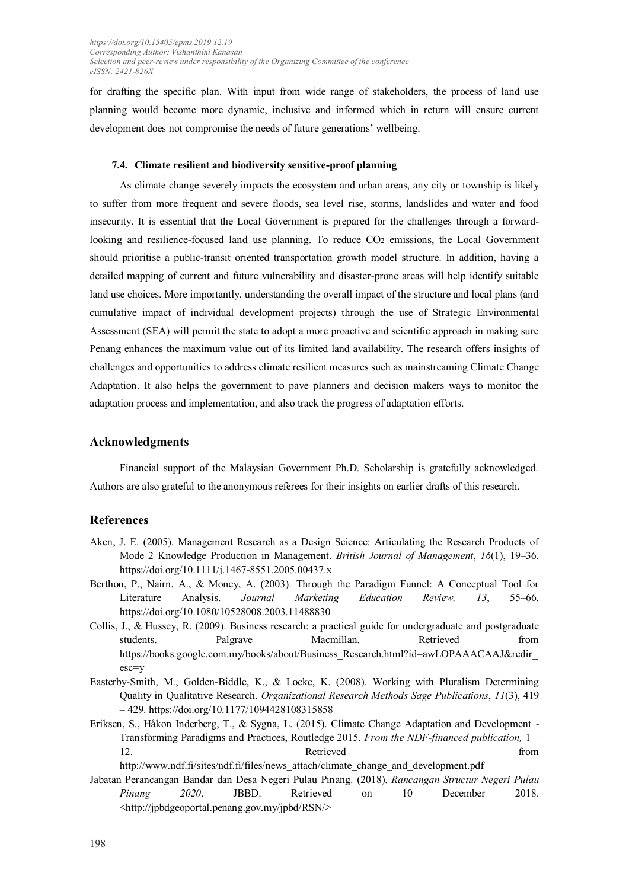for drafting the specific plan. With input from wide range of stakeholders, the process of land use planning would become more dynamic, inclusive and informed which in return will ensure current development does not compromise the needs of future generations' wellbeing.

#### **7.4. Climate resilient and biodiversity sensitive-proof planning**

As climate change severely impacts the ecosystem and urban areas, any city or township is likely to suffer from more frequent and severe floods, sea level rise, storms, landslides and water and food insecurity. It is essential that the Local Government is prepared for the challenges through a forwardlooking and resilience-focused land use planning. To reduce CO2 emissions, the Local Government should prioritise a public-transit oriented transportation growth model structure. In addition, having a detailed mapping of current and future vulnerability and disaster-prone areas will help identify suitable land use choices. More importantly, understanding the overall impact of the structure and local plans (and cumulative impact of individual development projects) through the use of Strategic Environmental Assessment (SEA) will permit the state to adopt a more proactive and scientific approach in making sure Penang enhances the maximum value out of its limited land availability. The research offers insights of challenges and opportunities to address climate resilient measures such as mainstreaming Climate Change Adaptation. It also helps the government to pave planners and decision makers ways to monitor the adaptation process and implementation, and also track the progress of adaptation efforts.

#### **Acknowledgments**

Financial support of the Malaysian Government Ph.D. Scholarship is gratefully acknowledged. Authors are also grateful to the anonymous referees for their insights on earlier drafts of this research.

#### **References**

- Aken, J. E. (2005). Management Research as a Design Science: Articulating the Research Products of Mode 2 Knowledge Production in Management. *British Journal of Management*, *16*(1), 19–36. https://doi.org/10.1111/j.1467-8551.2005.00437.x
- Berthon, P., Nairn, A., & Money, A. (2003). Through the Paradigm Funnel: A Conceptual Tool for Literature Analysis. *Journal Marketing Education Review, 13*, 55–66. https://doi.org/10.1080/10528008.2003.11488830
- Collis, J., & Hussey, R. (2009). Business research: a practical guide for undergraduate and postgraduate students. Palgrave Macmillan. Retrieved from https://books.google.com.my/books/about/Business\_Research.html?id=awLOPAAACAAJ&redir [esc=y](https://books.google.com.my/books/about/Business_Research.html?id=awLOPAAACAAJ&redir_esc=y)
- Easterby-Smith, M., Golden-Biddle, K., & Locke, K. (2008). Working with Pluralism Determining Quality in Qualitative Research. *Organizational Research Methods Sage Publications*, *11*(3), 419 – 429.<https://doi.org/10.1177/1094428108315858>
- Eriksen, S., Håkon Inderberg, T., & Sygna, L. (2015). Climate Change Adaptation and Development Transforming Paradigms and Practices, Routledge 2015. *From the NDF-financed publication,* 1 – 12. **Retrieved here here here here here here here here here here here here here here here here here here here here here here here here here here here here here he**

[http://www.ndf.fi/sites/ndf.fi/files/news\\_attach/climate\\_change\\_and\\_development.pdf](http://www.ndf.fi/sites/ndf.fi/files/news_attach/climate_change_and_development.pdf)

Jabatan Perancangan Bandar dan Desa Negeri Pulau Pinang. (2018). *Rancangan Structur Negeri Pulau Pinang 2020*. JBBD. Retrieved on 10 December 2018. <http://jpbdgeoportal.penang.gov.my/jpbd/RSN/>